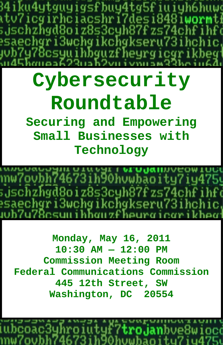ku4ytguyigsfbuy4tg5fiuiyh **MC** tv7icgirhciacshri7desi8481w ;jschzhgd8oiz8s3cyh87fzs74c esaechgri3wchgikchgkseru73i Щ 78csut ihbquzfhet area i 699. . . RD

# **Cybersecurity Roundtable**

**Securing and Empowering Small Businesses with Technology** 

673ih90huwbãoity7iy475y ;jschzhyd8oiz8s3cyh87fzs74chfi saechgri3wchgikchgkseru73ihchic, hon v Chaureirer heer

**Monday, May 16, 2011 10:30 AM — 12:00 PM Commission Meeting Room Federal Communications Commission 445 12th Street, SW Washington, DC 20554**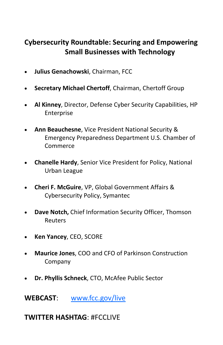# **Cybersecurity Roundtable: Securing and Empowering Small Businesses with Technology**

- **Julius Genachowski**, Chairman, FCC
- **Secretary Michael Chertoff**, Chairman, Chertoff Group
- **Al Kinney**, Director, Defense Cyber Security Capabilities, HP **Enterprise**
- **Ann Beauchesne**, Vice President National Security & Emergency Preparedness Department U.S. Chamber of Commerce
- **Chanelle Hardy**, Senior Vice President for Policy, National Urban League
- **Cheri F. McGuire**, VP, Global Government Affairs & Cybersecurity Policy, Symantec
- **Dave Notch,** Chief Information Security Officer, Thomson Reuters
- **Ken Yancey**, CEO, SCORE
- **Maurice Jones**, COO and CFO of Parkinson Construction Company
- **Dr. Phyllis Schneck**, CTO, McAfee Public Sector

**WEBCAST**: www.fcc.gov/live

# **TWITTER HASHTAG**: #FCCLIVE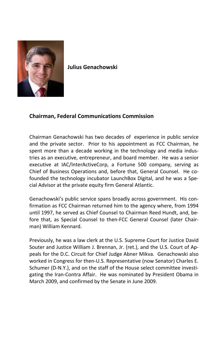

**Julius Genachowski**

## **Chairman, Federal Communications Commission**

Chairman Genachowski has two decades of experience in public service and the private sector. Prior to his appointment as FCC Chairman, he spent more than a decade working in the technology and media industries as an executive, entrepreneur, and board member. He was a senior executive at IAC/InterActiveCorp, a Fortune 500 company, serving as Chief of Business Operations and, before that, General Counsel. He cofounded the technology incubator LaunchBox Digital, and he was a Spe‐ cial Advisor at the private equity firm General Atlantic.

Genachowski's public service spans broadly across government. His con‐ firmation as FCC Chairman returned him to the agency where, from 1994 until 1997, he served as Chief Counsel to Chairman Reed Hundt, and, be‐ fore that, as Special Counsel to then‐FCC General Counsel (later Chair‐ man) William Kennard.

Previously, he was a law clerk at the U.S. Supreme Court for Justice David Souter and Justice William J. Brennan, Jr. (ret.), and the U.S. Court of Ap‐ peals for the D.C. Circuit for Chief Judge Abner Mikva. Genachowski also worked in Congress for then‐U.S. Representative (now Senator) Charles E. Schumer (D‐N.Y.), and on the staff of the House select committee investi‐ gating the Iran‐Contra Affair. He was nominated by President Obama in March 2009, and confirmed by the Senate in June 2009.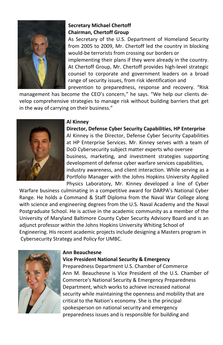

## **Secretary Michael Chertoff Chairman, Chertoff Group**

As Secretary of the U.S. Department of Homeland Security from 2005 to 2009, Mr. Chertoff led the country in blocking would‐be terrorists from crossing our borders or implementing their plans if they were already in the country. At Chertoff Group, Mr. Chertoff provides high‐level strategic counsel to corporate and government leaders on a broad range of security issues, from risk identification and prevention to preparedness, response and recovery. "Risk

management has become the CEO's concern," he says. "We help our clients de‐ velop comprehensive strategies to manage risk without building barriers that get in the way of carrying on their business."



#### **Al Kinney**

**Director, Defense Cyber Security Capabilities, HP Enterprise**  Al Kinney is the Director, Defense Cyber Security Capabilities at HP Enterprise Services. Mr. Kinney serves with a team of DoD Cybersecurity subject matter experts who oversee business, marketing, and investment strategies supporting development of defense cyber warfare services capabilities, industry awareness, and client interaction. While serving as a Portfolio Manager with the Johns Hopkins University Applied Physics Laboratory, Mr. Kinney developed a line of Cyber

Warfare business culminating in a competitive award for DARPA's National Cyber Range. He holds a Command & Staff Diploma from the Naval War College along with science and engineering degrees from the U.S. Naval Academy and the Naval Postgraduate School. He is active in the academic community as a member of the University of Maryland Baltimore County Cyber Security Advisory Board and is an adjunct professor within the Johns Hopkins University Whiting School of Engineering. His recent academic projects include designing a Masters program in Cybersecurity Strategy and Policy for UMBC.



#### **Ann Beauchesne**

**Vice President National Security & Emergency** 

Preparedness Department U.S. Chamber of Commerce Ann M. Beauchesne is Vice President of the U.S. Chamber of Commerce's National Security & Emergency Preparedness Department, which works to achieve increased national security while maintaining the openness and mobility that are critical to the Nation's economy. She is the principal spokesperson on national security and emergency preparedness issues and is responsible for building and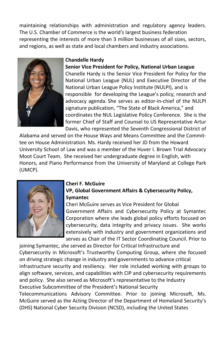maintaining relationships with administration and regulatory agency leaders. The U.S. Chamber of Commerce is the world's largest business federation representing the interests of more than 3 million businesses of all sizes, sectors, and regions, as well as state and local chambers and industry associations.



#### **Chandelle Hardy**

#### **Senior Vice President for Policy, National Urban League**

Chanelle Hardy is the Senior Vice President for Policy for the National Urban League (NUL) and Executive Director of the National Urban League Policy Institute (NULPI), and is responsible for developing the League's policy, research and advocacy agenda. She serves as editor‐in‐chief of the NULPI signature publication, "The State of Black America," and coordinates the NUL Legislative Policy Conference. She is the former Chief of Staff and Counsel to US Representative Artur Davis, who represented the Seventh Congressional District of

Alabama and served on the House Ways and Means Committee and the Commit‐ tee on House Administration. Ms. Hardy received her JD from the Howard University School of Law and was a member of the Huver I. Brown Trial Advocacy Moot Court Team. She received her undergraduate degree in English, with Honors, and Piano Performance from the University of Maryland at College Park (UMCP).



#### **Cheri F. McGuire**

## **VP, Global Government Affairs & Cybersecurity Policy, Symantec**

Cheri McGuire serves as Vice President for Global Government Affairs and Cybersecurity Policy at Symantec Corporation where she leads global policy efforts focused on cybersecurity, data integrity and privacy issues. She works extensively with industry and government organizations and serves as Chair of the IT Sector Coordinating Council. Prior to

joining Symantec, she served as Director for Critical Infrastructure and Cybersecurity in Microsoft's Trustworthy Computing Group, where she focused on driving strategic change in industry and governments to advance critical infrastructure security and resiliency. Her role included working with groups to align software, services, and capabilities with CIP and cybersecurity requirements and policy. She also served as Microsoft's representative to the Industry Executive Subcommittee of the President's National Security Telecommunications Advisory Committee. Prior to joining Microsoft, Ms.

McGuire served as the Acting Director of the Department of Homeland Security's (DHS) National Cyber Security Division (NCSD), including the United States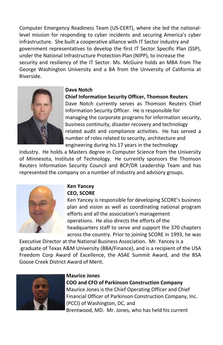Computer Emergency Readiness Team (US‐CERT), where she led the national‐ level mission for responding to cyber incidents and securing America's cyber infrastructure. She built a cooperative alliance with IT Sector industry and government representatives to develop the first IT Sector Specific Plan (SSP), under the National Infrastructure Protection Plan (NIPP), to increase the security and resiliency of the IT Sector. Ms. McGuire holds an MBA from The George Washington University and a BA from the University of California at Riverside.



#### **Dave Notch**

#### **Chief Information Security Officer, Thomson Reuters**

Dave Notch currently serves as Thomson Reuters Chief Information Security Officer. He is responsible for managing the corporate programs for information security, business continuity, disaster recovery and technology related audit and compliance activities. He has served a number of roles related to security, architecture and engineering during his 17 years in the technology

industry. He holds a Masters degree in Computer Science from the University of Minnesota, Institute of Technology. He currently sponsors the Thomson Reuters Information Security Council and BCP/DR Leadership Team and has represented the company on a number of industry and advisory groups.



#### **Ken Yancey CEO, SCORE**

Ken Yancey is responsible for developing SCORE's business plan and vision as well as coordinating national program efforts and all the association's management operations. He also directs the efforts of the headquarters staff to serve and support the 370 chapters across the country. Prior to joining SCORE in 1993, he was

Executive Director at the National Business Association. Mr. Yancey is a graduate of Texas A&M University (BBA/Finance), and is a recipient of the USA Freedom Corp Award of Excellence, the ASAE Summit Award, and the BSA Goose Creek District Award of Merit.



#### **Maurice Jones**

**COO and CFO of Parkinson Construction Company** Maurice Jones is the Chief Operating Officer and Chief Financial Officer of Parkinson Construction Company, Inc. (PCCI) of Washington, DC, and Brentwood, MD. Mr. Jones, who has held his current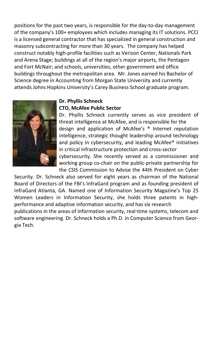positions for the past two years, is responsible for the day‐to‐day management of the company's 100+ employees which includes managing its IT solutions. PCCI is a licensed general contractor that has specialized in general construction and masonry subcontracting for more than 30 years. The company has helped construct notably high‐profile facilities such as Verizon Center, Nationals Park and Arena Stage; buildings at all of the region's major airports, the Pentagon and Fort McNair; and schools, universities, other government and office buildings throughout the metropolitan area. Mr. Jones earned his Bachelor of Science degree in Accounting from Morgan State University and currently attends Johns Hopkins University's Carey Business School graduate program.



#### **Dr. Phyllis Schneck CTO, McAfee Public Sector**

Dr. Phyllis Schneck currently serves as vice president of threat intelligence at McAfee, and is responsible for the design and application of McAfee's ® Internet reputation intelligence, strategic thought leadership around technology and policy in cybersecurity, and leading McAfee® initiatives in critical infrastructure protection and cross‐sector cybersecurity. She recently served as a commissioner and working group co‐chair on the public‐private partnership for the CSIS Commission to Advise the 44th President on Cyber

Security. Dr. Schneck also served for eight years as chairman of the National Board of Directors of the FBI's InfraGard program and as founding president of InfraGard Atlanta, GA. Named one of Information Security Magazine's Top 25 Women Leaders in Information Security, she holds three patents in highperformance and adaptive information security, and has six research

publications in the areas of information security, real-time systems, telecom and software engineering. Dr. Schneck holds a Ph.D. in Computer Science from Geor‐ gia Tech.